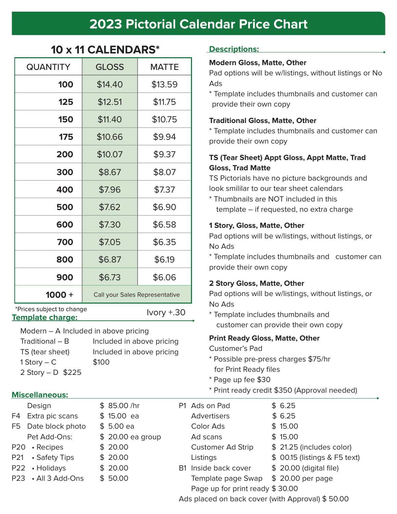# **2023 Pictorial Calendar Price Chart**

| <b>QUANTITY</b>           | <b>GLOSS</b> | <b>MATTE</b>                            |  |  |
|---------------------------|--------------|-----------------------------------------|--|--|
| 100                       | \$14.40      | \$13.59                                 |  |  |
| 125                       | \$12.51      | \$11.75                                 |  |  |
| 150                       | \$11.40      | \$10.75                                 |  |  |
| 175                       | \$10.66      | \$9.94                                  |  |  |
| 200                       | \$10.07      | \$9.37                                  |  |  |
| 300                       | \$8.67       | \$8.07                                  |  |  |
| 400                       | \$7.96       | \$7.37                                  |  |  |
| 500                       | \$7.62       | \$6.90                                  |  |  |
| 600                       | \$7.30       | \$6.58                                  |  |  |
| 700                       | \$7.05       | \$6.35                                  |  |  |
| 800                       | \$6.87       | \$6.19                                  |  |  |
| 900                       | \$6.73       | \$6.06                                  |  |  |
| $1000 +$                  |              | Call your Sales Representative          |  |  |
| *Prices subject to change |              | $h \wedge h \wedge L$ $\supset \bigcap$ |  |  |

**10 x 11 CALENDARS\***

**Template charge:**

Ivory +.30

Modern – A Included in above pricing

 $Traditional - B$  Included in above pricing TS (tear sheet) Included in above pricing  $1$  Story – C  $$100$ 2 Story – D \$225

#### **Miscellaneous:**

Design \$ 85.00 /hr

F4 Extra pic scans  $$ 15.00$  ea

F5 Date block photo  $$5.00$  ea

Pet Add-Ons:  $$ 20.00$  ea

P20 • Recipes \$ 20.00

 $P21 \rightarrow S$ afety Tips  $$20.00$ 

 $P22 \cdot$ Holidays  $$ 20.00$ 

 $P23 \cdot All 3 Add-Ons \quad $ 50.00$ 

#### **Descriptions:**

#### **Modern Gloss, Matte, Other**

Pad options will be w/listings, without listings or No Ads

\* Template includes thumbnails and customer can provide their own copy

#### **Traditional Gloss, Matte, Other**

\* Template includes thumbnails and customer can provide their own copy

#### **TS (Tear Sheet) Appt Gloss, Appt Matte, Trad Gloss, Trad Matte**

TS Pictorials have no picture backgrounds and look smililar to our tear sheet calendars

\* Thumbnails are NOT included in this template – if requested, no extra charge

#### **1 Story, Gloss, Matte, Other**

Pad options will be w/listings, without listings, or No Ads

\* Template includes thumbnails and customer can provide their own copy

#### **2 Story Gloss, Matte, Other**

Pad options will be w/listings, without listings, or No Ads

\* Template includes thumbnails and customer can provide their own copy

#### **Print Ready Gloss, Matte, Other**

Customer's Pad

- \* Possible pre-press charges \$75/hr for Print Ready files
- \* Page up fee \$30
- \* Print ready credit \$350 (Approval needed)

|       |                                                  | P1 Ads on Pad                        |  | \$6.25                        |  |  |
|-------|--------------------------------------------------|--------------------------------------|--|-------------------------------|--|--|
|       |                                                  | <b>Advertisers</b>                   |  | \$6.25                        |  |  |
|       |                                                  | Color Ads                            |  | \$15.00                       |  |  |
| group |                                                  | Ad scans                             |  | \$15.00                       |  |  |
|       |                                                  | <b>Customer Ad Strip</b>             |  | \$21.25 (includes color)      |  |  |
|       |                                                  | Listings                             |  | \$ 00.15 (listings & F5 text) |  |  |
|       |                                                  | B1 Inside back cover                 |  | \$ 20.00 (digital file)       |  |  |
|       |                                                  | Template page Swap \$ 20.00 per page |  |                               |  |  |
|       |                                                  | Page up for print ready \$30.00      |  |                               |  |  |
|       | Ads placed on back cover (with Approval) \$50.00 |                                      |  |                               |  |  |